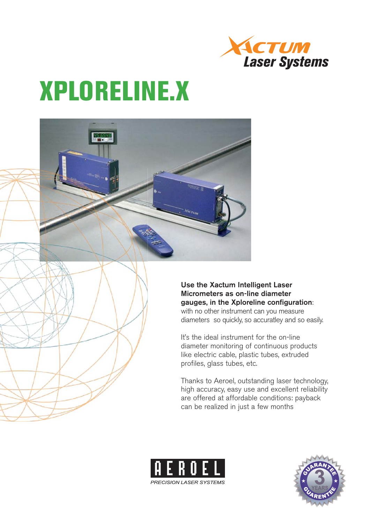

# **XPLORELINE.X**

**Use the Xactum Intelligent Laser Micrometers as on-line diameter gauges, in the Xploreline configuration**: with no other instrument can you measure diameters so quickly, so accuratley and so easily.

It's the ideal instrument for the on-line diameter monitoring of continuous products like electric cable, plastic tubes, extruded profiles, glass tubes, etc.

Thanks to Aeroel, outstanding laser technology, high accuracy, easy use and excellent reliability are offered at affordable conditions: payback can be realized in just a few months



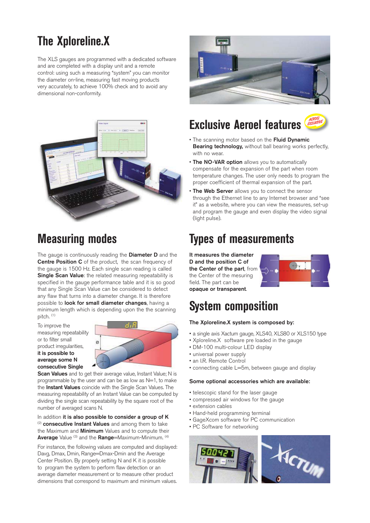# **The Xploreline.X**

The XLS gauges are programmed with a dedicated software and are completed with a display unit and a remote control: using such a measuring "system" you can monitor the diameter on-line, measuring fast moving products very accurately, to achieve 100% check and to avoid any dimensional non-conformity.



# **Measuring modes**

The gauge is continuously reading the **Diameter D** and the **Centre Position C** of the product, the scan frequency of the gauge is 1500 Hz. Each single scan reading is called **Single Scan Value**: the related measuring repeatability is specified in the gauge performance table and it is so good that any Single Scan Value can be considered to detect any flaw that turns into a diameter change. It is therefore possible to **look for small diameter changes**, having a minimum length which is depending upon the the scanning pitch. (1)

To improve the measuring repeatability or to filter small product irregularities, **it is possible to average some N consecutive Single** 



**Scan Values** and to get their average value, Instant Value; N is programmable by the user and can be as low as N=1, to make the **Instant Values** coincide with the Single Scan Values. The measuring repeatability of an Instant Value can be computed by dividing the single scan repeatability by the square root of the number of averaged scans N.

In addition **it is also possible to consider a group of K** (2) **consecutive Instant Values** and among them to take the Maximum and **Minimum** Values and to compute their **Average** Value<sup>(3)</sup> and the **Range**=Maximum-Minimum. <sup>(4)</sup>

For instance, the following values are computed and displayed: Davg, Dmax, Dmin, Range=Dmax-Dmin and the Average Center Position. By properly setting N and K it is possible to program the system to perform flaw detection or an average diameter measurement or to measure other product dimensions that correspond to maximum and minimum values.



# **Exclusive Aeroel features**

- The scanning motor based on the **Fluid Dynamic Bearing technology,** without ball bearing works perfectly, with no wear.
- **The NO-VAR option** allows you to automatically compensate for the expansion of the part when room temperature changes. The user only needs to program the proper coefficient of thermal expansion of the part.
- **The Web Server** allows you to connect the sensor through the Ethernet line to any Internet browser and "see it" as a website, where you can view the measures, set-up and program the gauge and even display the video signal (light pulse).

# **Types of measurements**

**It measures the diameter D and the position C of the Center of the part**, from the Center of the mesuring field. The part can be **opaque or transparent**.



# **System composition**

#### **The Xploreline.X system is composed by:**

- a single axis Xactum gauge, XLS40, XLS80 or XLS150 type
- Xploreline.X software pre loaded in the gauge
- DM-100 multi-colour LED display
- universal power supply
- an I.R. Remote Control
- connecting cable L=5m, between gauge and display

#### **Some optional accessories which are available:**

- telescopic stand for the laser gauge
- compressed air windows for the gauge
- extension cables
- Hand-held programming terminal
- GageXcom software for PC communication
- PC Software for networking

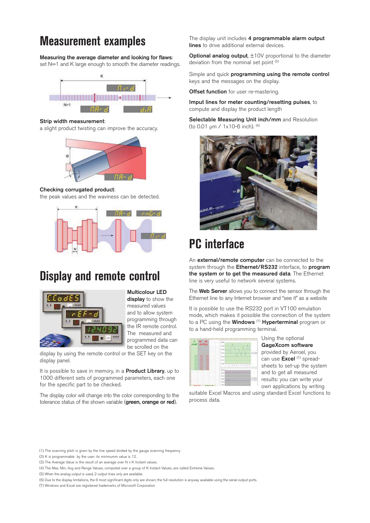# **Measurement examples**

**Measuring the average diameter and looking for flaws**: set N=1 and K large enough to smooth the diameter readings.



#### **Strip width measurement**:

a slight product twisting can improve the accuracy.



#### **Checking corrugated product**:

the peak values and the waviness can be detected.



### **Display and remote control**



**Multicolour LED** 

**display** to show the measured values and to allow system programming through the IR remote control. The measured and programmed data can be scrolled on the

display by using the remote control or the SET key on the display panel.

It is possible to save in memory, in a **Product Library**, up to 1000 different sets of programmed parameters, each one for the specific part to be checked.

The display color will change into the color corresponding to the tolerance status of the shown variable (**green, orange or red**).

The display unit includes **4 programmable alarm output lines** to drive additional external devices.

**Optional analog output**,  $\pm$ 10V proportional to the diameter deviation from the nominal set point (5)

Simple and quick **programming using the remote control** keys and the messages on the display.

**Offset function** for user re-mastering.

**Imput lines for meter counting/resetting pulses**, to compute and display the product length

**Selectable Measuring Unit inch/mm** and Resolution (to 0.01 μm / 1x10-6 inch). (6)



# **PC interface**

An **external/remote computer** can be connected to the system through the **Ethernet/RS232** interface, to **program the system or to get the measured data**. The Ethernet line is very useful to network several systems.

The **Web Server** allows you to connect the sensor through the Ethernet line to any Internet browser and "see it" as a website

It is possible to use the RS232 port in VT100 emulation mode, which makes it possible the connection of the system to a PC using the **Windows** (7) **Hyperterminal** program or to a hand-held programming terminal.



Using the optional **GageXcom software** provided by Aeroel, you can use **Excel** (7) spreadsheets to set-up the system and to get all measured results: you can write your own applications by writing

suitable Excel Macros and using standard Excel functions to process data.

<sup>(1)</sup> The scanning pitch is given by the line speed divided by the gauge scanning frequency

<sup>(3)</sup> K is programmable by the user: its minimumm value is 12.

<sup>(3)</sup> The Average Value is the result of an average over N x K Instant values.

<sup>(4)</sup> The Max, Min, Avg and Range Values, computed over a group of K Instant Values, are called Extreme Values.

<sup>(5)</sup> When the analog output is used, 2 output lines only are available.

<sup>(6)</sup> Due to the display limitations, the 6 most significant digits only are shown; the full resolution is anyway available using the serial output ports.

<sup>(7)</sup> Windows and Excel are registered trademarks of Microsoft Corporation